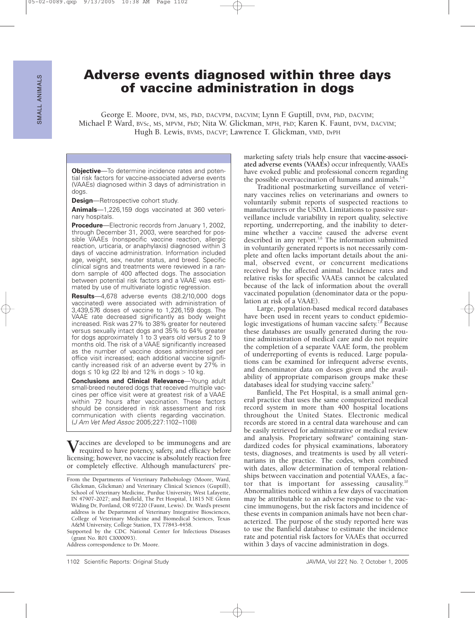# **Adverse events diagnosed within three days of vaccine administration in dogs**

George E. Moore, DVM, MS, PhD, DACVPM, DACVIM; Lynn F. Guptill, DVM, PhD, DACVIM; Michael P. Ward, BVSc, MS, MPVM, PhD; Nita W. Glickman, MPH, PhD; Karen K. Faunt, DVM, DACVIM; Hugh B. Lewis, BVMS, DACVP; Lawrence T. Glickman, VMD, DrPH

**Objective**—To determine incidence rates and potential risk factors for vaccine-associated adverse events (VAAEs) diagnosed within 3 days of administration in dogs.

**Design**—Retrospective cohort study.

**Animals**—1,226,159 dogs vaccinated at 360 veterinary hospitals.

**Procedure**—Electronic records from January 1, 2002, through December 31, 2003, were searched for possible VAAEs (nonspecific vaccine reaction, allergic reaction, urticaria, or anaphylaxis) diagnosed within 3 days of vaccine administration. Information included age, weight, sex, neuter status, and breed. Specific clinical signs and treatments were reviewed in a random sample of 400 affected dogs. The association between potential risk factors and a VAAE was estimated by use of multivariate logistic regression.

**Results**—4,678 adverse events (38.2/10,000 dogs vaccinated) were associated with administration of 3,439,576 doses of vaccine to 1,226,159 dogs. The VAAE rate decreased significantly as body weight increased. Risk was 27% to 38% greater for neutered versus sexually intact dogs and 35% to 64% greater for dogs approximately 1 to 3 years old versus 2 to 9 months old. The risk of a VAAE significantly increased as the number of vaccine doses administered per office visit increased; each additional vaccine significantly increased risk of an adverse event by 27% in dogs  $\leq$  10 kg (22 lb) and 12% in dogs  $>$  10 kg.

**Conclusions and Clinical Relevance**—Young adult small-breed neutered dogs that received multiple vaccines per office visit were at greatest risk of a VAAE within 72 hours after vaccination. These factors should be considered in risk assessment and risk communication with clients regarding vaccination. (J Am Vet Med Assoc 2005;227:1102–1108)

**V**accines are developed to be immunogens and are required to have potency, safety, and efficacy before licensing; however, no vaccine is absolutely reaction free or completely effective. Although manufacturers' pre-

Supported by the CDC National Center for Infectious Diseases (grant No. R01 CI000093).

Address correspondence to Dr. Moore.

marketing safety trials help ensure that **vaccine-associated adverse events (VAAEs)** occur infrequently, VAAEs have evoked public and professional concern regarding the possible overvaccination of humans and animals. $14$ 

Traditional postmarketing surveillance of veterinary vaccines relies on veterinarians and owners to voluntarily submit reports of suspected reactions to manufacturers or the USDA. Limitations to passive surveillance include variability in report quality, selective reporting, underreporting, and the inability to determine whether a vaccine caused the adverse event described in any report.<sup>5,6</sup> The information submitted in voluntarily generated reports is not necessarily complete and often lacks important details about the animal, observed event, or concurrent medications received by the affected animal. Incidence rates and relative risks for specific VAAEs cannot be calculated because of the lack of information about the overall vaccinated population (denominator data or the population at risk of a VAAE).

Large, population-based medical record databases have been used in recent years to conduct epidemiologic investigations of human vaccine safety.<sup>7,8</sup> Because these databases are usually generated during the routine administration of medical care and do not require the completion of a separate VAAE form, the problem of underreporting of events is reduced. Large populations can be examined for infrequent adverse events, and denominator data on doses given and the availability of appropriate comparison groups make these databases ideal for studying vaccine safety.<sup>9</sup>

Banfield, The Pet Hospital, is a small animal general practice that uses the same computerized medical record system in more than 400 hospital locations throughout the United States. Electronic medical records are stored in a central data warehouse and can be easily retrieved for administrative or medical review and analysis. Proprietary software<sup>a</sup> containing standardized codes for physical examinations, laboratory tests, diagnoses, and treatments is used by all veterinarians in the practice. The codes, when combined with dates, allow determination of temporal relationships between vaccination and potential VAAEs, a factor that is important for assessing causality.10 Abnormalities noticed within a few days of vaccination may be attributable to an adverse response to the vaccine immunogens, but the risk factors and incidence of these events in companion animals have not been characterized. The purpose of the study reported here was to use the Banfield database to estimate the incidence rate and potential risk factors for VAAEs that occurred within 3 days of vaccine administration in dogs.

From the Departments of Veterinary Pathobiology (Moore, Ward, Glickman, Glickman) and Veterinary Clinical Sciences (Guptill), School of Veterinary Medicine, Purdue University, West Lafayette, IN 47907-2027; and Banfield, The Pet Hospital, 11815 NE Glenn Widing Dr, Portland, OR 97220 (Faunt, Lewis). Dr. Ward's present address is the Department of Veterinary Integrative Biosciences, College of Veterinary Medicine and Biomedical Sciences, Texas A&M University, College Station, TX 77843-4458.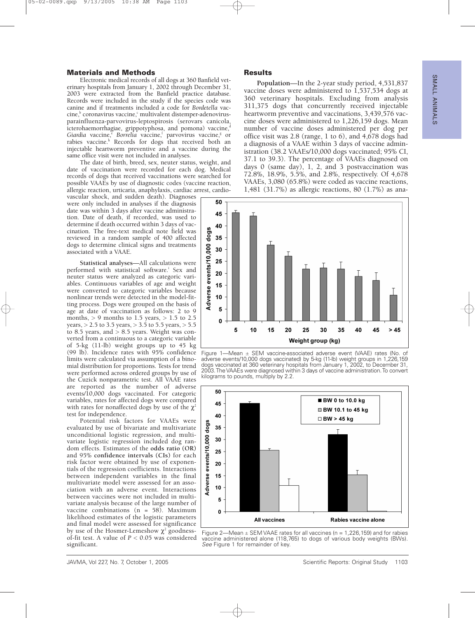# SUALL ANIMALS ANIMALS

### **Materials and Methods**

Electronic medical records of all dogs at 360 Banfield veterinary hospitals from January 1, 2002 through December 31, 2003 were extracted from the Banfield practice database. Records were included in the study if the species code was canine and if treatments included a code for *Bordetella* vac- $\text{cine},^{\text{b}}$  coronavirus vaccine, $^{\text{c}}$  multivalent distemper-adenovirusparainfluenza-parvovirus-leptospirosis (serovars canicola, icterohaemorrhagiae, grippotyphosa, and pomona) vaccine,<sup>d</sup> Giardia vaccine,<sup>e</sup> Borrelia vaccine,<sup>t</sup> parvovirus vaccine,<sup>g</sup> or rabies vaccine.<sup>h</sup> Records for dogs that received both an injectable heartworm preventive and a vaccine during the same office visit were not included in analyses.

The date of birth, breed, sex, neuter status, weight, and date of vaccination were recorded for each dog. Medical records of dogs that received vaccinations were searched for possible VAAEs by use of diagnostic codes (vaccine reaction, allergic reaction, urticaria, anaphylaxis, cardiac arrest, cardio-

vascular shock, and sudden death). Diagnoses were only included in analyses if the diagnosis date was within 3 days after vaccine administration. Date of death, if recorded, was used to determine if death occurred within 3 days of vaccination. The free-text medical note field was reviewed in a random sample of 400 affected dogs to determine clinical signs and treatments associated with a VAAE.

**Statistical analyses**—All calculations were performed with statistical software.<sup>i</sup> Sex and neuter status were analyzed as categoric variables. Continuous variables of age and weight were converted to categoric variables because nonlinear trends were detected in the model-fitting process. Dogs were grouped on the basis of age at date of vaccination as follows: 2 to 9 months,  $> 9$  months to 1.5 years,  $> 1.5$  to 2.5 years, > 2.5 to 3.5 years, > 3.5 to 5.5 years, > 5.5 to 8.5 years, and  $> 8.5$  years. Weight was converted from a continuous to a categoric variable of 5-kg (11-lb) weight groups up to 45 kg (99 lb). Incidence rates with 95% confidence limits were calculated via assumption of a binomial distribution for proportions. Tests for trend were performed across ordered groups by use of the Cuzick nonparametric test. All VAAE rates are reported as the number of adverse events/10,000 dogs vaccinated. For categoric variables, rates for affected dogs were compared with rates for nonaffected dogs by use of the  $\chi^2$ test for independence.

Potential risk factors for VAAEs were evaluated by use of bivariate and multivariate unconditional logistic regression, and multivariate logistic regression included dog random effects. Estimates of the **odds ratio (OR)** and 95% **confidence intervals (CIs)** for each risk factor were obtained by use of exponentials of the regression coefficients. Interactions between independent variables in the final multivariate model were assessed for an association with an adverse event. Interactions between vaccines were not included in multivariate analysis because of the large number of vaccine combinations (n = 58). Maximum likelihood estimates of the logistic parameters and final model were assessed for significance by use of the Hosmer-Lemeshow  $\chi^2$  goodnessof-fit test. A value of *P* < 0.05 was considered significant.

#### **Results**

**Population**—In the 2-year study period, 4,531,837 vaccine doses were administered to 1,537,534 dogs at 360 veterinary hospitals. Excluding from analysis 311,375 dogs that concurrently received injectable heartworm preventive and vaccinations, 3,439,576 vaccine doses were administered to 1,226,159 dogs. Mean number of vaccine doses administered per dog per office visit was 2.8 (range, 1 to 6), and 4,678 dogs had a diagnosis of a VAAE within 3 days of vaccine administration (38.2 VAAEs/10,000 dogs vaccinated; 95% CI, 37.1 to 39.3). The percentage of VAAEs diagnosed on days 0 (same day), 1, 2, and 3 postvaccination was 72.8%, 18.9%, 5.5%, and 2.8%, respectively. Of 4,678 VAAEs, 3,080 (65.8%) were coded as vaccine reactions, 1,481 (31.7%) as allergic reactions, 80 (1.7%) as ana-



Figure 1—Mean ± SEM vaccine-associated adverse event (VAAE) rates (No. of adverse events/10,000 dogs vaccinated) by 5-kg (11-lb) weight groups in 1,226,159 dogs vaccinated at 360 veterinary hospitals from January 1, 2002, to December 31, 2003. The VAAEs were diagnosed within 3 days of vaccine administration.To convert kilograms to pounds, multiply by 2.2.



Figure 2—Mean  $\pm$  SEM VAAE rates for all vaccines (n = 1,226,159) and for rabies vaccine administered alone (118,765) to dogs of various body weights (BWs). See Figure 1 for remainder of key.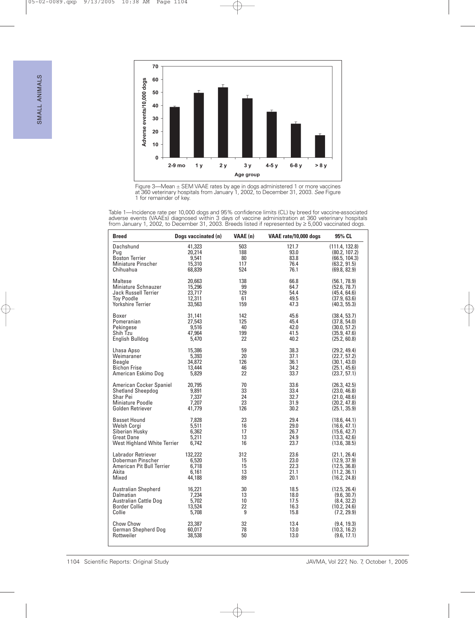



Table 1—Incidence rate per 10,000 dogs and 95% confidence limits (CL) by breed for vaccine-associated adverse events (VAAEs) diagnosed within 3 days of vaccine administration at 360 veterinary hospitals from January 1, 2002, to December 31, 2003. Breeds listed if represented by ≥ 5,000 vaccinated dogs.

| <b>Breed</b>                | Dogs vaccinated (n) | VAAE (n) | VAAE rate/10,000 dogs | 95% CL         |
|-----------------------------|---------------------|----------|-----------------------|----------------|
| Dachshund                   | 41.323              | 503      | 121.7                 | (111.4, 132.8) |
| Pug                         | 20,214              | 188      | 93.0                  | (80.2, 107.2)  |
| <b>Boston Terrier</b>       | 9,541               | 80       | 83.8                  | (66.5, 104.3)  |
| Miniature Pinscher          | 15.310              | 117      | 76.4                  | (63.2, 91.5)   |
| Chihuahua                   | 68,839              | 524      | 76.1                  | (69.8, 82.9)   |
| Maltese                     | 20.663              | 138      | 66.8                  | (56.1, 78.9)   |
| <b>Miniature Schnauzer</b>  | 15,296              | 99       | 64.7                  | (52.6, 78.7)   |
| Jack Russell Terrier        | 23,717              | 129      | 54.4                  | (45.4, 64.6)   |
| <b>Tov Poodle</b>           | 12.311              | 61       | 49.5                  | (37.9, 63.6)   |
| <b>Yorkshire Terrier</b>    | 33,563              | 159      | 47.3                  | (40.3, 55.3)   |
| Boxer                       | 31,141              | 142      | 45.6                  | (38.4, 53.7)   |
| Pomeranian                  | 27,543              | 125      | 45.4                  | (37.8, 54.0)   |
| Pekingese                   | 9,516               | 40       | 42.0                  | (30.0, 57.2)   |
| Shih Tzu                    | 47,964              | 199      | 41.5                  | (35.9, 47.6)   |
| English Bulldog             | 5,470               | 22       | 40.2                  | (25.2, 60.8)   |
| Lhasa Apso                  | 15,386              | 59       | 38.3                  | (29.2, 49.4)   |
| Weimaraner                  | 5,393               | 20       | 37.1                  | (22.7, 57.2)   |
| Beagle                      | 34,872              | 126      | 36.1                  | (30.1, 43.0)   |
| <b>Bichon Frise</b>         | 13,444              | 46       | 34.2                  | (25.1, 45.6)   |
| American Eskimo Dog         | 5,829               | 22       | 33.7                  | (23.7, 57.1)   |
| American Cocker Spaniel     | 20,795              | 70       | 33.6                  | (26.3, 42.5)   |
| <b>Shetland Sheepdog</b>    | 9,891               | 33       | 33.4                  | (23.0, 46.8)   |
| Shar Pei                    | 7,337               | 24       | 32.7                  | (21.0, 48.6)   |
| Miniature Poodle            | 7.207               | 23       | 31.9                  | (20.2, 47.8)   |
| Golden Retriever            | 41,779              | 126      | 30.2                  | (25.1, 35.9)   |
| <b>Basset Hound</b>         | 7,828               | 23       | 29.4                  | (18.6, 44.1)   |
| Welsh Corai                 | 5,511               | 16       | 29.0                  | (16.6, 47.1)   |
| Siberian Husky              | 6,362               | 17       | 26.7                  | (15.6, 42.7)   |
| <b>Great Dane</b>           | 5.211               | 13       | 24.9                  | (13.3, 42.6)   |
| West Highland White Terrier | 6.742               | 16       | 23.7                  | (13.6, 38.5)   |
| Labrador Retriever          | 132,222             | 312      | 23.6                  | (21.1, 26.4)   |
| Doberman Pinscher           | 6,520               | 15       | 23.0                  | (12.9, 37.9)   |
| American Pit Bull Terrier   | 6.718               | 15       | 22.3                  | (12.5, 36.8)   |
| Akita                       | 6.161               | 13       | 21.1                  | (11.2, 36.1)   |
| Mixed                       | 44,188              | 89       | 20.1                  | (16.2, 24.8)   |
| <b>Australian Shepherd</b>  | 16,221              | 30       | 18.5                  | (12.5, 26.4)   |
| Dalmatian                   | 7,234               | 13       | 18.0                  | (9.6, 30.7)    |
| Australian Cattle Dog       | 5,702               | 10       | 17.5                  | (8.4, 32.2)    |
| <b>Border Collie</b>        | 13.524              | 22       | 16.3                  | (10.2, 24.6)   |
| Collie                      | 5,708               | 9        | 15.8                  | (7.2, 29.9)    |
| Chow Chow                   | 23.387              | 32       | 13.4                  | (9.4, 19.3)    |
| German Shepherd Dog         | 60,017              | 78       | 13.0                  | (10.3, 16.2)   |
| Rottweiler                  | 38,538              | 50       | 13.0                  | (9.6, 17.1)    |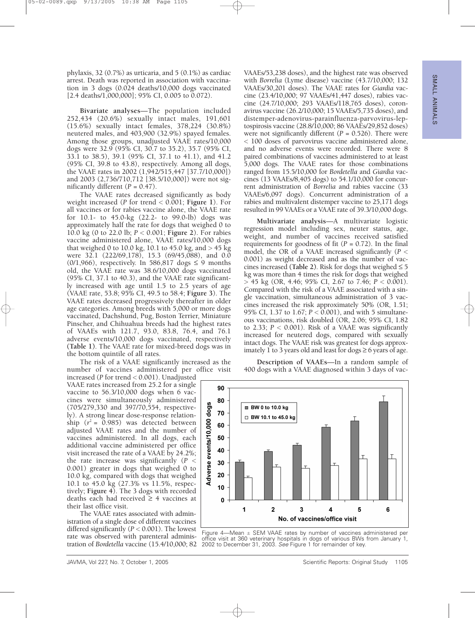phylaxis, 32 (0.7%) as urticaria, and 5 (0.1%) as cardiac arrest. Death was reported in association with vaccination in 3 dogs (0.024 deaths/10,000 dogs vaccinated [2.4 deaths/1,000,000]; 95% CI, 0.005 to 0.072).

**Bivariate analyses**—The population included 252,434 (20.6%) sexually intact males, 191,601 (15.6%) sexually intact females, 378,224 (30.8%) neutered males, and 403,900 (32.9%) spayed females. Among those groups, unadjusted VAAE rates/10,000 dogs were 32.9 (95% CI, 30.7 to 35.2), 35.7 (95% CI, 33.1 to 38.5), 39.1 (95% CI, 37.1 to 41.1), and 41.2 (95% CI, 39.8 to 43.8), respectively. Among all dogs, the VAAE rates in 2002 (1,942/515,447 [37.7/10,000]) and 2003 (2,736/710,712 [38.5/10,000]) were not significantly different  $(P = 0.47)$ .

The VAAE rates decreased significantly as body weight increased (*P* for trend < 0.001; **Figure 1**). For all vaccines or for rabies vaccine alone, the VAAE rate for 10.1- to 45.0-kg (22.2- to 99.0-lb) dogs was approximately half the rate for dogs that weighed 0 to 10.0 kg (0 to 22.0 lb; *P* < 0.001; **Figure 2**). For rabies vaccine administered alone, VAAE rates/10,000 dogs that weighed 0 to 10.0 kg, 10.1 to 45.0 kg, and  $> 45$  kg were  $32.1$  (222/69,178), 15.3 (69/45,088), and 0.0 (0/1,966), respectively. In 586,817 dogs  $\leq$  9 months old, the VAAE rate was 38.6/10,000 dogs vaccinated (95% CI, 37.1 to 40.3), and the VAAE rate significantly increased with age until 1.5 to 2.5 years of age (VAAE rate, 53.8; 95% CI, 49.5 to 58.4; **Figure 3**). The VAAE rates decreased progressively thereafter in older age categories. Among breeds with 5,000 or more dogs vaccinated, Dachshund, Pug, Boston Terrier, Miniature Pinscher, and Chihuahua breeds had the highest rates of VAAEs with 121.7, 93.0, 83.8, 76.4, and 76.1 adverse events/10,000 dogs vaccinated, respectively **(Table 1)**. The VAAE rate for mixed-breed dogs was in the bottom quintile of all rates.

The risk of a VAAE significantly increased as the number of vaccines administered per office visit

increased (*P* for trend < 0.001). Unadjusted VAAE rates increased from 25.2 for a single vaccine to 56.3/10,000 dogs when 6 vaccines were simultaneously administered (705/279,330 and 397/70,554, respectively). A strong linear dose-response relationship  $(r^2 = 0.985)$  was detected between adjusted VAAE rates and the number of vaccines administered. In all dogs, each additional vaccine administered per office visit increased the rate of a VAAE by 24.2%; the rate increase was significantly (*P* < 0.001) greater in dogs that weighed 0 to 10.0 kg, compared with dogs that weighed 10.1 to 45.0 kg (27.3% vs 11.5%, respectively; **Figure 4**). The 3 dogs with recorded deaths each had received  $\geq$  4 vaccines at their last office visit.

The VAAE rates associated with administration of a single dose of different vaccines differed significantly (*P* < 0.001). The lowest rate was observed with parenteral administration of *Bordetella* vaccine (15.4/10,000; 82 VAAEs/53,238 doses), and the highest rate was observed with *Borrelia* (Lyme disease) vaccine (43.7/10,000; 132 VAAEs/30,201 doses). The VAAE rates for *Giardia* vaccine (23.4/10,000; 97 VAAEs/41,447 doses), rabies vaccine (24.7/10,000; 293 VAAEs/118,765 doses), coronavirus vaccine (26.2/10,000; 15 VAAEs/5,735 doses), and distemper-adenovirus-parainfluenza-parvovirus-leptospirosis vaccine (28.8/10,000; 86 VAAEs/29,852 doses) were not significantly different  $(P = 0.526)$ . There were < 100 doses of parvovirus vaccine administered alone, and no adverse events were recorded. There were 8 paired combinations of vaccines administered to at least 5,000 dogs. The VAAE rates for those combinations ranged from 15.5/10,000 for *Bordetella* and *Giardia* vaccines (13 VAAEs/8,405 dogs) to 54.1/10,000 for concurrent administration of *Borrelia* and rabies vaccine (33 VAAEs/6,097 dogs). Concurrent administration of a rabies and multivalent distemper vaccine to 25,171 dogs resulted in 99 VAAEs or a VAAE rate of 39.3/10,000 dogs.

**Multivariate analysis**—A multivariate logistic regression model including sex, neuter status, age, weight, and number of vaccines received satisfied requirements for goodness of fit  $(P = 0.72)$ . In the final model, the OR of a VAAE increased significantly (*P* < 0.001) as weight decreased and as the number of vaccines increased (Table 2). Risk for dogs that weighed  $\leq 5$ kg was more than 4 times the risk for dogs that weighed > 45 kg (OR, 4.46; 95% CI, 2.67 to 7.46; *P* < 0.001). Compared with the risk of a VAAE associated with a single vaccination, simultaneous administration of 3 vaccines increased the risk approximately 50% (OR, 1.51; 95% CI, 1.37 to 1.67; *P* < 0.001), and with 5 simultaneous vaccinations, risk doubled (OR, 2.06; 95% CI, 1.82 to 2.33;  $P < 0.001$ ). Risk of a VAAE was significantly increased for neutered dogs, compared with sexually intact dogs. The VAAE risk was greatest for dogs approximately 1 to 3 years old and least for dogs  $\geq 6$  years of age.

**Description of VAAEs**—In a random sample of 400 dogs with a VAAE diagnosed within 3 days of vac-



Figure 4—Mean  $\pm$  SEM VAAE rates by number of vaccines administered per office visit at 360 veterinary hospitals in dogs of various BWs from January 1, 2002 to December 31, 2003. See Figure 1 for remainder of key.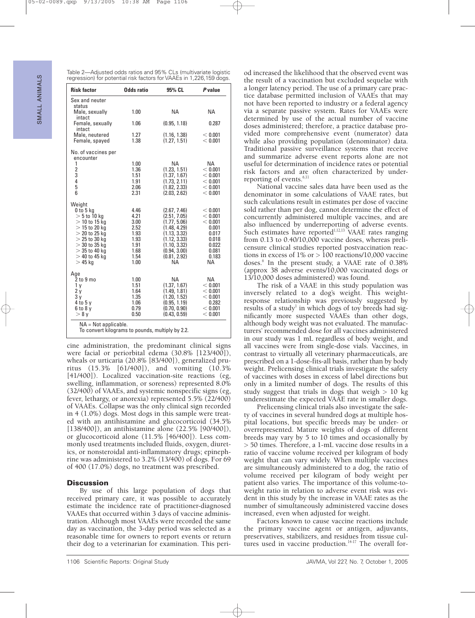Table 2—Adjusted odds ratios and 95% CLs (multivariate logistic regression) for potential risk factors for VAAEs in 1,226,159 dogs.

| <b>Risk factor</b>                                                         | <b>Odds ratio</b> | 95% CL                       | P value            |  |
|----------------------------------------------------------------------------|-------------------|------------------------------|--------------------|--|
| Sex and neuter                                                             |                   |                              |                    |  |
| status<br>Male, sexually<br>intact                                         | 1.00              | NA                           | <b>NA</b>          |  |
| Female, sexually<br>intact                                                 | 1.06              | (0.95, 1.18)                 | 0.287              |  |
| Male, neutered<br>Female, spayed                                           | 1.27<br>1.38      | (1.16, 1.38)<br>(1.27, 1.51) | < 0.001<br>< 0.001 |  |
| No. of vaccines per<br>encounter                                           |                   |                              |                    |  |
| 1                                                                          | 1.00              | <b>NA</b>                    | NA.                |  |
| $\begin{array}{c} 2 \\ 3 \\ 4 \end{array}$                                 | 1.36<br>1.51      | (1.23, 1.51)<br>(1.37, 1.67) | < 0.001<br>< 0.001 |  |
|                                                                            | 1.91              | (1.73, 2.11)                 | < 0.001            |  |
| 5<br>6                                                                     | 2.06<br>2.31      | (1.82, 2.33)<br>(2.03, 2.62) | < 0.001<br>< 0.001 |  |
| Weight                                                                     |                   |                              |                    |  |
| $0$ to $5$ kg<br>$>$ 5 to 10 kg                                            | 4.46<br>4.21      | (2.67, 7.46)<br>(2.51, 7.05) | < 0.001<br>< 0.001 |  |
| $>$ 10 to 15 kg                                                            | 3.00              | (1.77, 5.06)                 | < 0.001            |  |
| $>$ 15 to 20 kg<br>$>$ 20 to 25 kg                                         | 2.52<br>1.93      | (1.48, 4.29)                 | 0.001<br>0.017     |  |
| $>$ 25 to 30 kg                                                            | 1.93              | (1.13, 3.32)<br>(1.12, 3.33) | 0.018              |  |
| $>$ 30 to 35 kg                                                            | 1.91              | (1.10, 3.32)                 | 0.022              |  |
| $>$ 35 to 40 kg<br>$>$ 40 to 45 kg                                         | 1.68<br>1.54      | (0.94, 3.00)<br>(0.81, 2.92) | 0.081<br>0.183     |  |
| $>45$ ka                                                                   | 1.00              | <b>NA</b>                    | <b>NA</b>          |  |
| Age                                                                        |                   |                              |                    |  |
| 2 to 9 mo<br>1 <sub>y</sub>                                                | 1.00<br>1.51      | <b>NA</b><br>(1.37, 1.67)    | NA<br>< 0.001      |  |
| 2y                                                                         | 1.64              | (1.49, 1.81)                 | < 0.001            |  |
| 3 y                                                                        | 1.35              | (1.20, 1.52)                 | < 0.001            |  |
| 4 to 5 y<br>$6$ to $8$ y                                                   | 1.06<br>0.79      | (0.95, 1.19)<br>(0.70, 0.90) | 0.282<br>< 0.001   |  |
| $> 8$ v                                                                    | 0.50              | (0.43, 0.59)                 | < 0.001            |  |
| $NA = Not applicable.$<br>To convert kilograms to pounds, multiply by 2.2. |                   |                              |                    |  |

cine administration, the predominant clinical signs were facial or periorbital edema (30.8% [123/400]), wheals or urticaria (20.8% [83/400]), generalized pruritus (15.3% [61/400]), and vomiting (10.3% [41/400]). Localized vaccination-site reactions (eg, swelling, inflammation, or soreness) represented 8.0% (32/400) of VAAEs, and systemic nonspecific signs (eg, fever, lethargy, or anorexia) represented 5.5% (22/400) of VAAEs. Collapse was the only clinical sign recorded in 4 (1.0%) dogs. Most dogs in this sample were treated with an antihistamine and glucocorticoid (34.5% [138/400]), an antihistamine alone (22.5% [90/400]), or glucocorticoid alone (11.5% [46/400]). Less commonly used treatments included fluids, oxygen, diuretics, or nonsteroidal anti-inflammatory drugs; epinephrine was administered to 3.2% (13/400) of dogs. For 69 of 400 (17.0%) dogs, no treatment was prescribed.

## **Discussion**

By use of this large population of dogs that received primary care, it was possible to accurately estimate the incidence rate of practitioner-diagnosed VAAEs that occurred within 3 days of vaccine administration. Although most VAAEs were recorded the same day as vaccination, the 3-day period was selected as a reasonable time for owners to report events or return their dog to a veterinarian for examination. This peri-

od increased the likelihood that the observed event was the result of a vaccination but excluded sequelae with a longer latency period. The use of a primary care practice database permitted inclusion of VAAEs that may not have been reported to industry or a federal agency via a separate passive system. Rates for VAAEs were determined by use of the actual number of vaccine doses administered; therefore, a practice database provided more comprehensive event (numerator) data while also providing population (denominator) data. Traditional passive surveillance systems that receive and summarize adverse event reports alone are not useful for determination of incidence rates or potential risk factors and are often characterized by underreporting of events.<sup>6,11</sup>

National vaccine sales data have been used as the denominator in some calculations of VAAE rates, but such calculations result in estimates per dose of vaccine sold rather than per dog, cannot determine the effect of concurrently administered multiple vaccines, and are also influenced by underreporting of adverse events. Such estimates have reported $1,12,13$  VAAE rates ranging from 0.13 to 0.40/10,000 vaccine doses, whereas prelicensure clinical studies reported postvaccination reactions in excess of  $1\%$  or  $> 100$  reactions/10,000 vaccine doses.6 In the present study, a VAAE rate of 0.38% (approx 38 adverse events/10,000 vaccinated dogs or 13/10,000 doses administered) was found.

The risk of a VAAE in this study population was inversely related to a dog's weight. This weightresponse relationship was previously suggested by results of a study<sup>1</sup> in which dogs of toy breeds had significantly more suspected VAAEs than other dogs, although body weight was not evaluated. The manufacturers' recommended dose for all vaccines administered in our study was 1 mL regardless of body weight, and all vaccines were from single-dose vials. Vaccines, in contrast to virtually all veterinary pharmaceuticals, are prescribed on a 1-dose-fits-all basis, rather than by body weight. Prelicensing clinical trials investigate the safety of vaccines with doses in excess of label directions but only in a limited number of dogs. The results of this study suggest that trials in dogs that weigh  $> 10$  kg underestimate the expected VAAE rate in smaller dogs.

Prelicensing clinical trials also investigate the safety of vaccines in several hundred dogs at multiple hospital locations, but specific breeds may be under- or overrepresented. Mature weights of dogs of different breeds may vary by 5 to 10 times and occasionally by > 50 times. Therefore, a 1-mL vaccine dose results in a ratio of vaccine volume received per kilogram of body weight that can vary widely. When multiple vaccines are simultaneously administered to a dog, the ratio of volume received per kilogram of body weight per patient also varies. The importance of this volume-toweight ratio in relation to adverse event risk was evident in this study by the increase in VAAE rates as the number of simultaneously administered vaccine doses increased, even when adjusted for weight.

Factors known to cause vaccine reactions include the primary vaccine agent or antigen, adjuvants, preservatives, stabilizers, and residues from tissue cultures used in vaccine production.<sup>14-17</sup> The overall for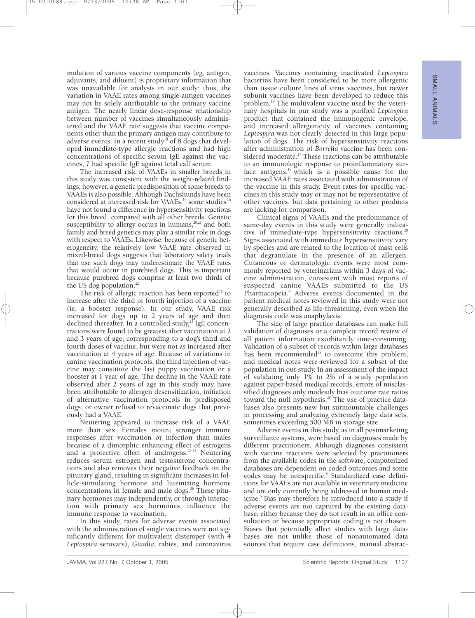mulation of various vaccine components (eg, antigen, adjuvants, and diluent) is proprietary information that was unavailable for analysis in our study; thus, the variation in VAAE rates among single-antigen vaccines may not be solely attributable to the primary vaccine antigen. The nearly linear dose-response relationship between number of vaccines simultaneously administered and the VAAE rate suggests that vaccine components other than the primary antigen may contribute to adverse events. In a recent study<sup>18</sup> of 8 dogs that developed immediate-type allergic reactions and had high concentrations of specific serum IgE against the vaccines, 7 had specific IgE against fetal calf serum.

The increased risk of VAAEs in smaller breeds in this study was consistent with the weight-related findings; however, a genetic predisposition of some breeds to VAAEs is also possible. Although Dachshunds have been considered at increased risk for VAAEs,<sup>19</sup> some studies<sup>1,6</sup> have not found a difference in hypersensitivity reactions for this breed, compared with all other breeds. Genetic susceptibility to allergy occurs in humans,<sup>20,21</sup> and both family and breed genetics may play a similar role in dogs with respect to VAAEs. Likewise, because of genetic heterogeneity, the relatively low VAAE rate observed in mixed-breed dogs suggests that laboratory safety trials that use such dogs may underestimate the VAAE rates that would occur in purebred dogs. This is important because purebred dogs comprise at least two thirds of the US dog population.<sup>22</sup>

The risk of allergic reaction has been reported<sup>16</sup> to increase after the third or fourth injection of a vaccine (ie, a booster response). In our study, VAAE risk increased for dogs up to 2 years of age and then declined thereafter. In a controlled study,<sup>23</sup> IgE concentrations were found to be greatest after vaccination at 2 and 3 years of age, corresponding to a dog's third and fourth doses of vaccine, but were not as increased after vaccination at 4 years of age. Because of variations in canine vaccination protocols, the third injection of vaccine may constitute the last puppy vaccination or a booster at 1 year of age. The decline in the VAAE rate observed after 2 years of age in this study may have been attributable to allergen desensitization, initiation of alternative vaccination protocols in predisposed dogs, or owner refusal to revaccinate dogs that previously had a VAAE.

Neutering appeared to increase risk of a VAAE more than sex. Females mount stronger immune responses after vaccination or infection than males because of a dimorphic enhancing effect of estrogens and a protective effect of androgens. $24,25$  Neutering reduces serum estrogen and testosterone concentrations and also removes their negative feedback on the pituitary gland, resulting in significant increases in follicle-stimulating hormone and luteinizing hormone concentrations in female and male dogs. $26$  These pituitary hormones may independently, or through interaction with primary sex hormones, influence the immune response to vaccination.

In this study, rates for adverse events associated with the administration of single vaccines were not significantly different for multivalent distemper (with 4 *Leptospira* serovars), *Giardia*, rabies, and coronavirus

vaccines. Vaccines containing inactivated *Leptospira* bacterins have been considered to be more allergenic than tissue culture lines of virus vaccines, but newer subunit vaccines have been developed to reduce this problem.19 The multivalent vaccine used by the veterinary hospitals in our study was a purified *Leptospira* product that contained the immunogenic envelope, and increased allergenicity of vaccines containing *Leptospira* was not clearly detected in this large population of dogs. The risk of hypersensitivity reactions after administration of *Borrelia* vaccine has been considered moderate.<sup>27</sup> These reactions can be attributable to an immunologic response to proinflammatory surface antigens, $19$  which is a possible cause for the increased VAAE rates associated with administration of the vaccine in this study. Event rates for specific vaccines in this study may or may not be representative of other vaccines, but data pertaining to other products are lacking for comparison.

Clinical signs of VAAEs and the predominance of same-day events in this study were generally indicative of immediate-type hypersensitivity reactions.<sup>28</sup> Signs associated with immediate hypersensitivity vary by species and are related to the location of mast cells that degranulate in the presence of an allergen. Cutaneous or dermatologic events were most commonly reported by veterinarians within 3 days of vaccine administration, consistent with most reports of suspected canine VAAEs submitted to the US Pharmacopeia.<sup>6</sup> Adverse events documented in the patient medical notes reviewed in this study were not generally described as life-threatening, even when the diagnosis code was anaphylaxis.

The size of large practice databases can make full validation of diagnoses or a complete record review of all patient information exorbitantly time-consuming. Validation of a subset of records within large databases has been recommended $^{29}$  to overcome this problem, and medical notes were reviewed for a subset of the population in our study. In an assessment of the impact of validating only 1% to 2% of a study population against paper-based medical records, errors of misclassified diagnoses only modestly bias outcome rate ratios toward the null hypothesis.<sup>29</sup> The use of practice databases also presents new but surmountable challenges in processing and analyzing extremely large data sets, sometimes exceeding 500 MB in storage size.

Adverse events in this study, as in all postmarketing surveillance systems, were based on diagnoses made by different practitioners. Although diagnoses consistent with vaccine reactions were selected by practitioners from the available codes in the software, computerized databases are dependent on coded outcomes and some codes may be nonspecific.<sup>8</sup> Standardized case definitions for VAAEs are not available in veterinary medicine and are only currently being addressed in human medicine.<sup>5</sup> Bias may therefore be introduced into a study if adverse events are not captured by the existing database, either because they do not result in an office consultation or because appropriate coding is not chosen. Biases that potentially affect studies with large databases are not unlike those of nonautomated data sources that require case definitions, manual abstrac